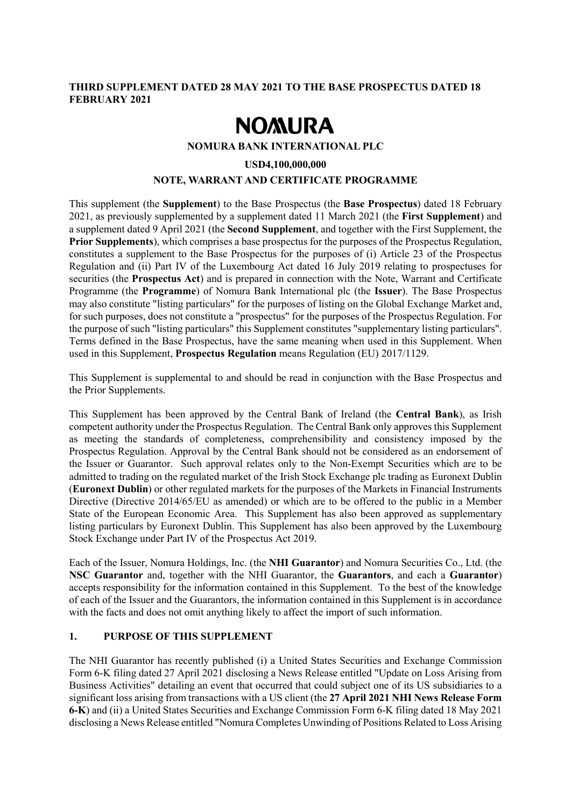## **THIRD SUPPLEMENT DATED 28 MAY 2021 TO THE BASE PROSPECTUS DATED 18 FEBRUARY 2021**

# **NOMURA**

**NOMURA BANK INTERNATIONAL PLC**

## **USD4,100,000,000**

## **NOTE, WARRANT AND CERTIFICATE PROGRAMME**

This supplement (the **Supplement**) to the Base Prospectus (the **Base Prospectus**) dated 18 February 2021, as previously supplemented by a supplement dated 11 March 2021 (the **First Supplement**) and a supplement dated 9 April 2021 (the **Second Supplement**, and together with the First Supplement, the **Prior Supplements**), which comprises a base prospectus for the purposes of the Prospectus Regulation, constitutes a supplement to the Base Prospectus for the purposes of (i) Article 23 of the Prospectus Regulation and (ii) Part IV of the Luxembourg Act dated 16 July 2019 relating to prospectuses for securities (the **Prospectus Act**) and is prepared in connection with the Note, Warrant and Certificate Programme (the **Programme**) of Nomura Bank International plc (the **Issuer**). The Base Prospectus may also constitute "listing particulars" for the purposes of listing on the Global Exchange Market and, for such purposes, does not constitute a "prospectus" for the purposes of the Prospectus Regulation. For the purpose of such "listing particulars" this Supplement constitutes "supplementary listing particulars". Terms defined in the Base Prospectus, have the same meaning when used in this Supplement. When used in this Supplement, **Prospectus Regulation** means Regulation (EU) 2017/1129.

This Supplement is supplemental to and should be read in conjunction with the Base Prospectus and the Prior Supplements.

This Supplement has been approved by the Central Bank of Ireland (the **Central Bank**), as Irish competent authority under the Prospectus Regulation. The Central Bank only approves this Supplement as meeting the standards of completeness, comprehensibility and consistency imposed by the Prospectus Regulation. Approval by the Central Bank should not be considered as an endorsement of the Issuer or Guarantor. Such approval relates only to the Non-Exempt Securities which are to be admitted to trading on the regulated market of the Irish Stock Exchange plc trading as Euronext Dublin (**Euronext Dublin**) or other regulated markets for the purposes of the Markets in Financial Instruments Directive (Directive 2014/65/EU as amended) or which are to be offered to the public in a Member State of the European Economic Area. This Supplement has also been approved as supplementary listing particulars by Euronext Dublin. This Supplement has also been approved by the Luxembourg Stock Exchange under Part IV of the Prospectus Act 2019.

Each of the Issuer, Nomura Holdings, Inc. (the **NHI Guarantor**) and Nomura Securities Co., Ltd. (the **NSC Guarantor** and, together with the NHI Guarantor, the **Guarantors**, and each a **Guarantor**) accepts responsibility for the information contained in this Supplement. To the best of the knowledge of each of the Issuer and the Guarantors, the information contained in this Supplement is in accordance with the facts and does not omit anything likely to affect the import of such information.

## **1. PURPOSE OF THIS SUPPLEMENT**

The NHI Guarantor has recently published (i) a United States Securities and Exchange Commission Form 6-K filing dated 27 April 2021 disclosing a News Release entitled "Update on Loss Arising from Business Activities" detailing an event that occurred that could subject one of its US subsidiaries to a significant loss arising from transactions with a US client (the **27 April 2021 NHI News Release Form 6-K**) and (ii) a United States Securities and Exchange Commission Form 6-K filing dated 18 May 2021 disclosing a News Release entitled "Nomura Completes Unwinding of Positions Related to Loss Arising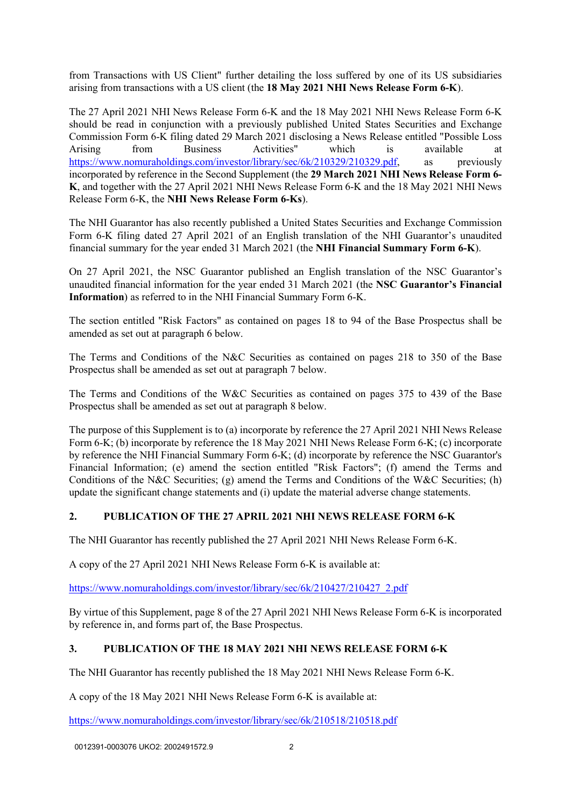from Transactions with US Client" further detailing the loss suffered by one of its US subsidiaries arising from transactions with a US client (the **18 May 2021 NHI News Release Form 6-K**).

The 27 April 2021 NHI News Release Form 6-K and the 18 May 2021 NHI News Release Form 6-K should be read in conjunction with a previously published United States Securities and Exchange Commission Form 6-K filing dated 29 March 2021 disclosing a News Release entitled "Possible Loss Arising from Business Activities" which is available at [https://www.nomuraholdings.com/investor/library/sec/6k/210329/210329.pdf,](https://www.nomuraholdings.com/investor/library/sec/6k/210329/210329.pdf) as previously incorporated by reference in the Second Supplement (the **29 March 2021 NHI News Release Form 6- K**, and together with the 27 April 2021 NHI News Release Form 6-K and the 18 May 2021 NHI News Release Form 6-K, the **NHI News Release Form 6-Ks**).

The NHI Guarantor has also recently published a United States Securities and Exchange Commission Form 6-K filing dated 27 April 2021 of an English translation of the NHI Guarantor's unaudited financial summary for the year ended 31 March 2021 (the **NHI Financial Summary Form 6-K**).

On 27 April 2021, the NSC Guarantor published an English translation of the NSC Guarantor's unaudited financial information for the year ended 31 March 2021 (the **NSC Guarantor's Financial Information**) as referred to in the NHI Financial Summary Form 6-K.

The section entitled "Risk Factors" as contained on pages 18 to 94 of the Base Prospectus shall be amended as set out at paragraph 6 below.

The Terms and Conditions of the N&C Securities as contained on pages 218 to 350 of the Base Prospectus shall be amended as set out at paragraph 7 below.

The Terms and Conditions of the W&C Securities as contained on pages 375 to 439 of the Base Prospectus shall be amended as set out at paragraph 8 below.

The purpose of this Supplement is to (a) incorporate by reference the 27 April 2021 NHI News Release Form 6-K; (b) incorporate by reference the 18 May 2021 NHI News Release Form 6-K; (c) incorporate by reference the NHI Financial Summary Form 6-K; (d) incorporate by reference the NSC Guarantor's Financial Information; (e) amend the section entitled "Risk Factors"; (f) amend the Terms and Conditions of the N&C Securities; (g) amend the Terms and Conditions of the W&C Securities; (h) update the significant change statements and (i) update the material adverse change statements.

## **2. PUBLICATION OF THE 27 APRIL 2021 NHI NEWS RELEASE FORM 6-K**

The NHI Guarantor has recently published the 27 April 2021 NHI News Release Form 6-K.

A copy of the 27 April 2021 NHI News Release Form 6-K is available at:

https://www.nomuraholdings.com/investor/library/sec/6k/210427/210427\_2.pdf

By virtue of this Supplement, page 8 of the 27 April 2021 NHI News Release Form 6-K is incorporated by reference in, and forms part of, the Base Prospectus.

## **3. PUBLICATION OF THE 18 MAY 2021 NHI NEWS RELEASE FORM 6-K**

The NHI Guarantor has recently published the 18 May 2021 NHI News Release Form 6-K.

A copy of the 18 May 2021 NHI News Release Form 6-K is available at:

<https://www.nomuraholdings.com/investor/library/sec/6k/210518/210518.pdf>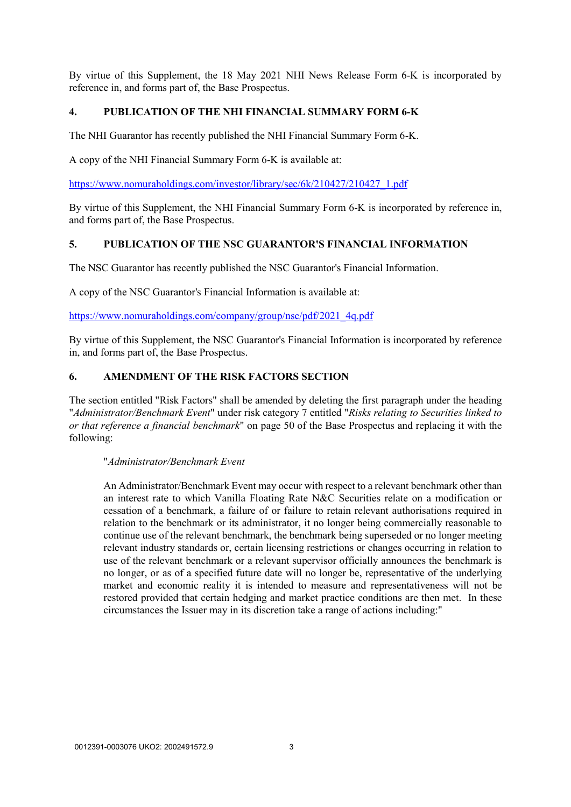By virtue of this Supplement, the 18 May 2021 NHI News Release Form 6-K is incorporated by reference in, and forms part of, the Base Prospectus.

## **4. PUBLICATION OF THE NHI FINANCIAL SUMMARY FORM 6-K**

The NHI Guarantor has recently published the NHI Financial Summary Form 6-K.

A copy of the NHI Financial Summary Form 6-K is available at:

[https://www.nomuraholdings.com/investor/library/sec/6k/210427/210427\\_1.pdf](https://www.nomuraholdings.com/investor/library/sec/6k/210427/210427_1.pdf)

By virtue of this Supplement, the NHI Financial Summary Form 6-K is incorporated by reference in, and forms part of, the Base Prospectus.

### **5. PUBLICATION OF THE NSC GUARANTOR'S FINANCIAL INFORMATION**

The NSC Guarantor has recently published the NSC Guarantor's Financial Information.

A copy of the NSC Guarantor's Financial Information is available at:

[https://www.nomuraholdings.com/company/group/nsc/pdf/2021\\_4q.pdf](https://www.nomuraholdings.com/company/group/nsc/pdf/2021_4q.pdf)

By virtue of this Supplement, the NSC Guarantor's Financial Information is incorporated by reference in, and forms part of, the Base Prospectus.

## **6. AMENDMENT OF THE RISK FACTORS SECTION**

The section entitled "Risk Factors" shall be amended by deleting the first paragraph under the heading "*Administrator/Benchmark Event*" under risk category 7 entitled "*Risks relating to Securities linked to or that reference a financial benchmark*" on page 50 of the Base Prospectus and replacing it with the following:

#### "*Administrator/Benchmark Event*

An Administrator/Benchmark Event may occur with respect to a relevant benchmark other than an interest rate to which Vanilla Floating Rate N&C Securities relate on a modification or cessation of a benchmark, a failure of or failure to retain relevant authorisations required in relation to the benchmark or its administrator, it no longer being commercially reasonable to continue use of the relevant benchmark, the benchmark being superseded or no longer meeting relevant industry standards or, certain licensing restrictions or changes occurring in relation to use of the relevant benchmark or a relevant supervisor officially announces the benchmark is no longer, or as of a specified future date will no longer be, representative of the underlying market and economic reality it is intended to measure and representativeness will not be restored provided that certain hedging and market practice conditions are then met. In these circumstances the Issuer may in its discretion take a range of actions including:"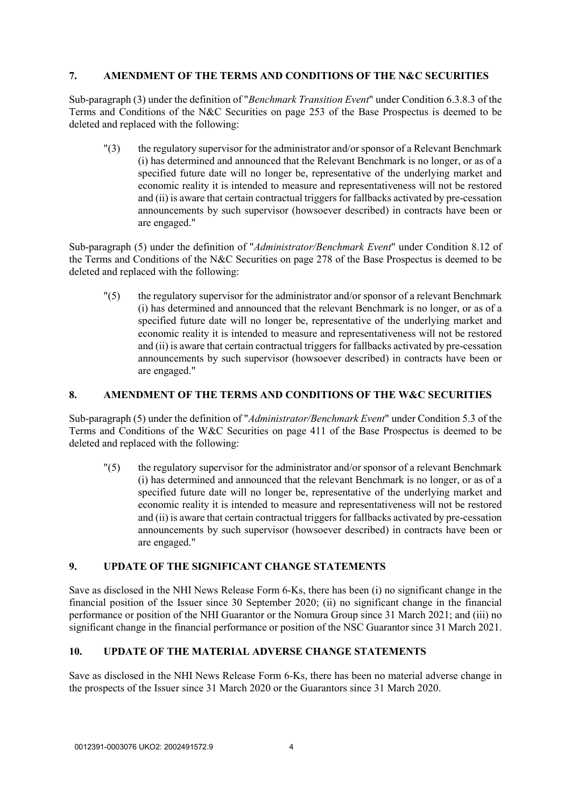## **7. AMENDMENT OF THE TERMS AND CONDITIONS OF THE N&C SECURITIES**

Sub-paragraph (3) under the definition of "*Benchmark Transition Event*" under Condition 6.3.8.3 of the Terms and Conditions of the N&C Securities on page 253 of the Base Prospectus is deemed to be deleted and replaced with the following:

"(3) the regulatory supervisor for the administrator and/or sponsor of a Relevant Benchmark (i) has determined and announced that the Relevant Benchmark is no longer, or as of a specified future date will no longer be, representative of the underlying market and economic reality it is intended to measure and representativeness will not be restored and (ii) is aware that certain contractual triggers for fallbacks activated by pre-cessation announcements by such supervisor (howsoever described) in contracts have been or are engaged."

Sub-paragraph (5) under the definition of "*Administrator/Benchmark Event*" under Condition 8.12 of the Terms and Conditions of the N&C Securities on page 278 of the Base Prospectus is deemed to be deleted and replaced with the following:

"(5) the regulatory supervisor for the administrator and/or sponsor of a relevant Benchmark (i) has determined and announced that the relevant Benchmark is no longer, or as of a specified future date will no longer be, representative of the underlying market and economic reality it is intended to measure and representativeness will not be restored and (ii) is aware that certain contractual triggers for fallbacks activated by pre-cessation announcements by such supervisor (howsoever described) in contracts have been or are engaged."

## **8. AMENDMENT OF THE TERMS AND CONDITIONS OF THE W&C SECURITIES**

Sub-paragraph (5) under the definition of "*Administrator/Benchmark Event*" under Condition 5.3 of the Terms and Conditions of the W&C Securities on page 411 of the Base Prospectus is deemed to be deleted and replaced with the following:

"(5) the regulatory supervisor for the administrator and/or sponsor of a relevant Benchmark (i) has determined and announced that the relevant Benchmark is no longer, or as of a specified future date will no longer be, representative of the underlying market and economic reality it is intended to measure and representativeness will not be restored and (ii) is aware that certain contractual triggers for fallbacks activated by pre-cessation announcements by such supervisor (howsoever described) in contracts have been or are engaged."

## **9. UPDATE OF THE SIGNIFICANT CHANGE STATEMENTS**

Save as disclosed in the NHI News Release Form 6-Ks, there has been (i) no significant change in the financial position of the Issuer since 30 September 2020; (ii) no significant change in the financial performance or position of the NHI Guarantor or the Nomura Group since 31 March 2021; and (iii) no significant change in the financial performance or position of the NSC Guarantor since 31 March 2021.

## **10. UPDATE OF THE MATERIAL ADVERSE CHANGE STATEMENTS**

Save as disclosed in the NHI News Release Form 6-Ks, there has been no material adverse change in the prospects of the Issuer since 31 March 2020 or the Guarantors since 31 March 2020.